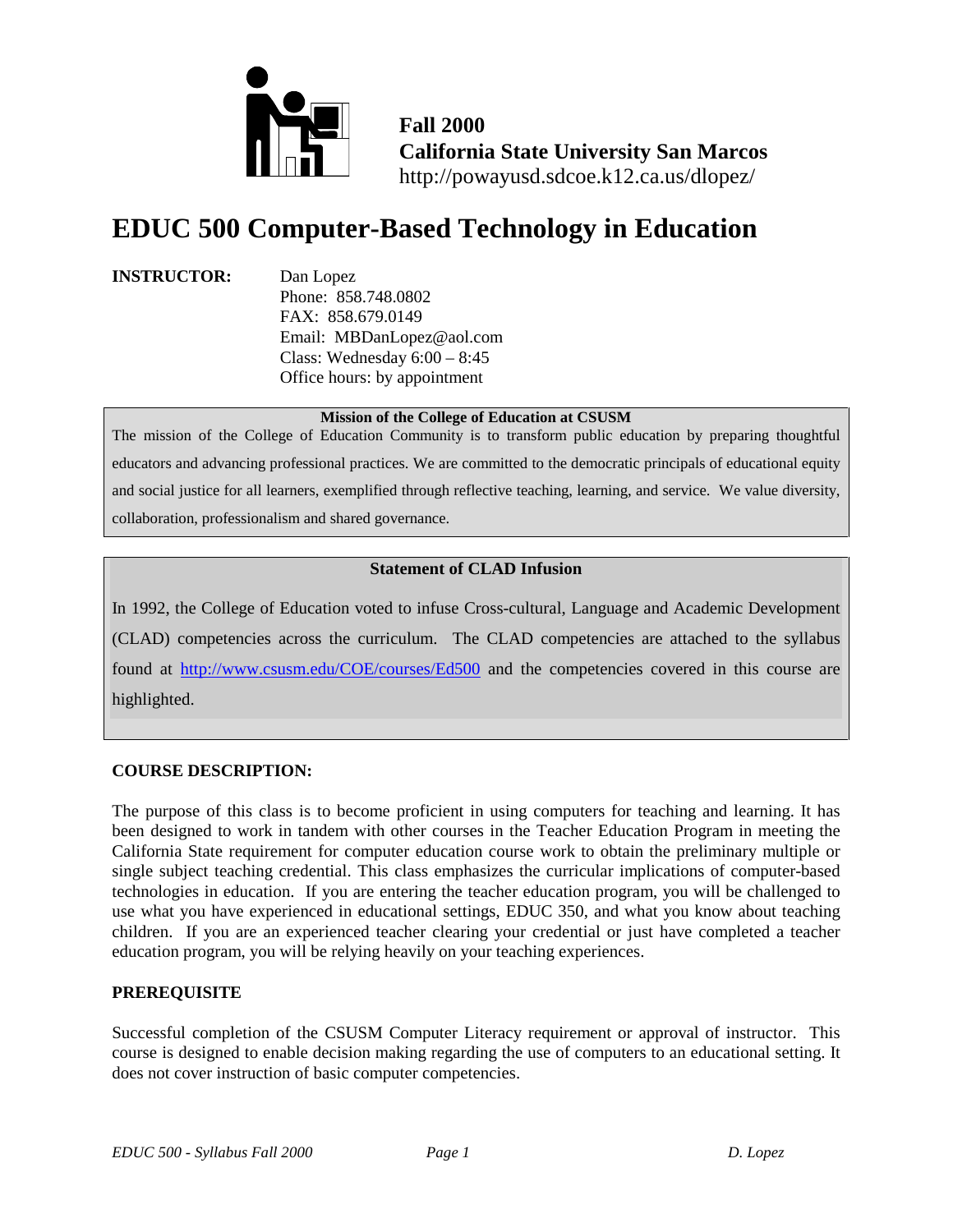

**Fall 2000 California State University San Marcos** http://powayusd.sdcoe.k12.ca.us/dlopez/

# **EDUC 500 Computer-Based Technology in Education**

#### **INSTRUCTOR:** Dan Lopez

Phone: 858.748.0802 FAX: 858.679.0149 Email: MBDanLopez@aol.com Class: Wednesday 6:00 – 8:45 Office hours: by appointment

#### **Mission of the College of Education at CSUSM**

The mission of the College of Education Community is to transform public education by preparing thoughtful educators and advancing professional practices. We are committed to the democratic principals of educational equity and social justice for all learners, exemplified through reflective teaching, learning, and service. We value diversity, collaboration, professionalism and shared governance.

# **Statement of CLAD Infusion**

In 1992, the College of Education voted to infuse Cross-cultural, Language and Academic Development (CLAD) competencies across the curriculum. The CLAD competencies are attached to the syllabus found at <http://www.csusm.edu/COE/courses/Ed500> and the competencies covered in this course are highlighted.

# **COURSE DESCRIPTION:**

The purpose of this class is to become proficient in using computers for teaching and learning. It has been designed to work in tandem with other courses in the Teacher Education Program in meeting the California State requirement for computer education course work to obtain the preliminary multiple or single subject teaching credential. This class emphasizes the curricular implications of computer-based technologies in education. If you are entering the teacher education program, you will be challenged to use what you have experienced in educational settings, EDUC 350, and what you know about teaching children. If you are an experienced teacher clearing your credential or just have completed a teacher education program, you will be relying heavily on your teaching experiences.

# **PREREQUISITE**

Successful completion of the CSUSM Computer Literacy requirement or approval of instructor. This course is designed to enable decision making regarding the use of computers to an educational setting. It does not cover instruction of basic computer competencies.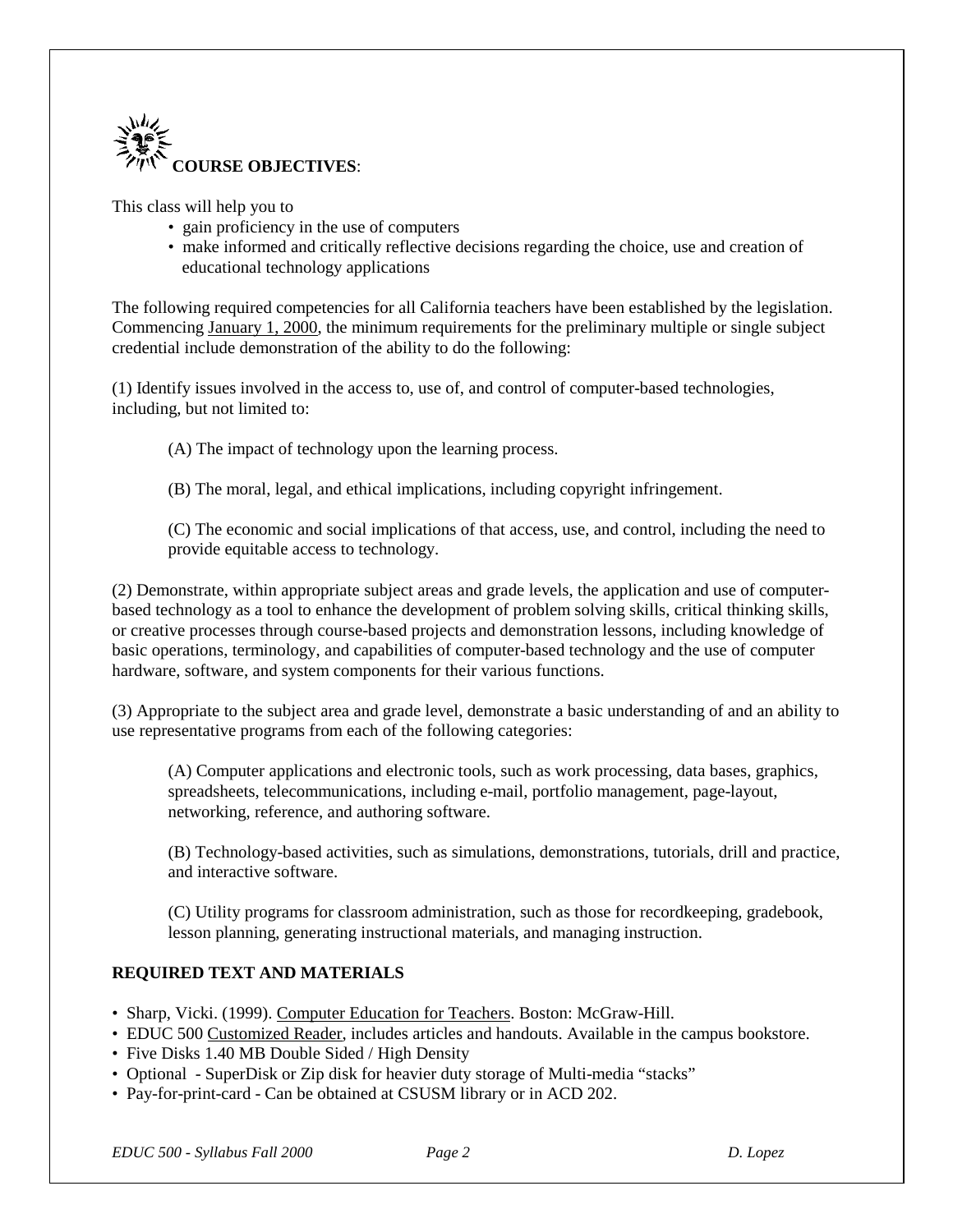

This class will help you to

- gain proficiency in the use of computers
- make informed and critically reflective decisions regarding the choice, use and creation of educational technology applications

The following required competencies for all California teachers have been established by the legislation. Commencing January 1, 2000, the minimum requirements for the preliminary multiple or single subject credential include demonstration of the ability to do the following:

(1) Identify issues involved in the access to, use of, and control of computer-based technologies, including, but not limited to:

(A) The impact of technology upon the learning process.

(B) The moral, legal, and ethical implications, including copyright infringement.

(C) The economic and social implications of that access, use, and control, including the need to provide equitable access to technology.

(2) Demonstrate, within appropriate subject areas and grade levels, the application and use of computerbased technology as a tool to enhance the development of problem solving skills, critical thinking skills, or creative processes through course-based projects and demonstration lessons, including knowledge of basic operations, terminology, and capabilities of computer-based technology and the use of computer hardware, software, and system components for their various functions.

(3) Appropriate to the subject area and grade level, demonstrate a basic understanding of and an ability to use representative programs from each of the following categories:

(A) Computer applications and electronic tools, such as work processing, data bases, graphics, spreadsheets, telecommunications, including e-mail, portfolio management, page-layout, networking, reference, and authoring software.

(B) Technology-based activities, such as simulations, demonstrations, tutorials, drill and practice, and interactive software.

(C) Utility programs for classroom administration, such as those for recordkeeping, gradebook, lesson planning, generating instructional materials, and managing instruction.

# **REQUIRED TEXT AND MATERIALS**

- Sharp, Vicki. (1999). Computer Education for Teachers. Boston: McGraw-Hill.
- EDUC 500 Customized Reader, includes articles and handouts. Available in the campus bookstore.
- Five Disks 1.40 MB Double Sided / High Density
- Optional SuperDisk or Zip disk for heavier duty storage of Multi-media "stacks"
- Pay-for-print-card Can be obtained at CSUSM library or in ACD 202.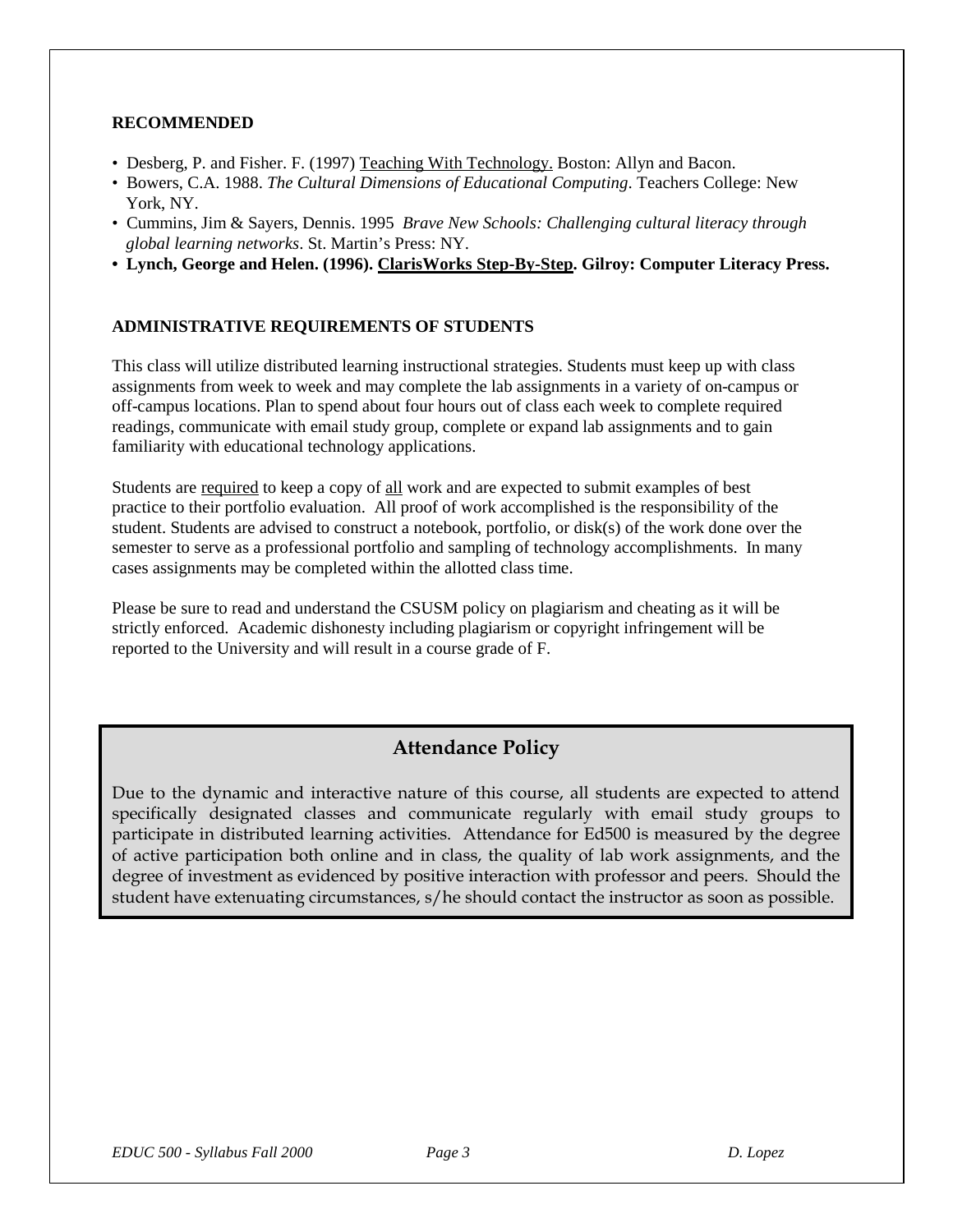#### **RECOMMENDED**

- Desberg, P. and Fisher. F. (1997) Teaching With Technology. Boston: Allyn and Bacon.
- Bowers, C.A. 1988. *The Cultural Dimensions of Educational Computing*. Teachers College: New York, NY.
- Cummins, Jim & Sayers, Dennis. 1995 *Brave New Schools: Challenging cultural literacy through global learning networks*. St. Martin's Press: NY.
- **Lynch, George and Helen. (1996). ClarisWorks Step-By-Step. Gilroy: Computer Literacy Press.**

# **ADMINISTRATIVE REQUIREMENTS OF STUDENTS**

This class will utilize distributed learning instructional strategies. Students must keep up with class assignments from week to week and may complete the lab assignments in a variety of on-campus or off-campus locations. Plan to spend about four hours out of class each week to complete required readings, communicate with email study group, complete or expand lab assignments and to gain familiarity with educational technology applications.

Students are required to keep a copy of all work and are expected to submit examples of best practice to their portfolio evaluation. All proof of work accomplished is the responsibility of the student. Students are advised to construct a notebook, portfolio, or disk(s) of the work done over the semester to serve as a professional portfolio and sampling of technology accomplishments. In many cases assignments may be completed within the allotted class time.

Please be sure to read and understand the CSUSM policy on plagiarism and cheating as it will be strictly enforced. Academic dishonesty including plagiarism or copyright infringement will be reported to the University and will result in a course grade of F.

# **Attendance Policy**

Due to the dynamic and interactive nature of this course, all students are expected to attend specifically designated classes and communicate regularly with email study groups to participate in distributed learning activities. Attendance for Ed500 is measured by the degree of active participation both online and in class, the quality of lab work assignments, and the degree of investment as evidenced by positive interaction with professor and peers. Should the student have extenuating circumstances, s/he should contact the instructor as soon as possible.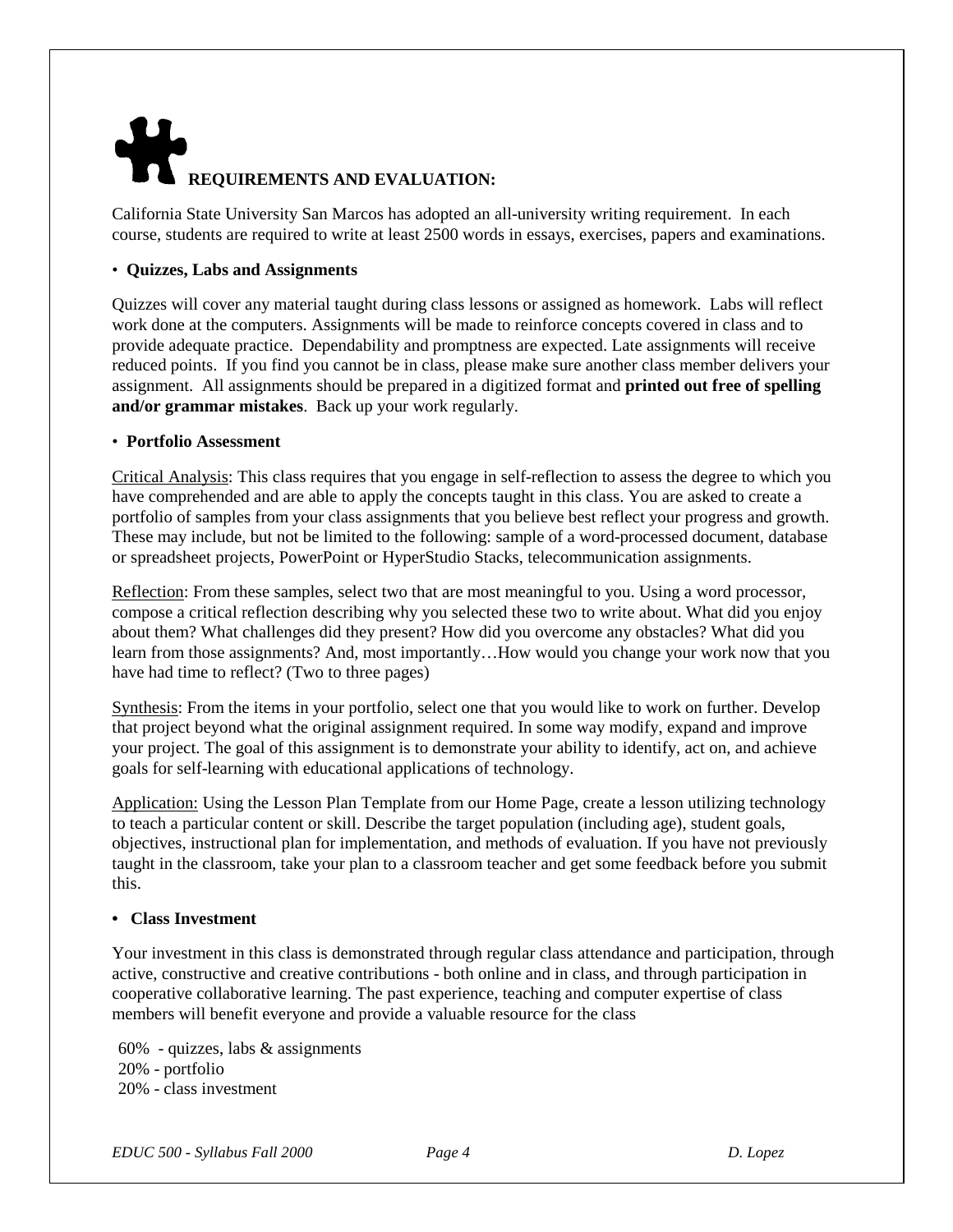# **REQUIREMENTS AND EVALUATION:**

California State University San Marcos has adopted an all-university writing requirement. In each course, students are required to write at least 2500 words in essays, exercises, papers and examinations.

#### • **Quizzes, Labs and Assignments**

Quizzes will cover any material taught during class lessons or assigned as homework. Labs will reflect work done at the computers. Assignments will be made to reinforce concepts covered in class and to provide adequate practice. Dependability and promptness are expected. Late assignments will receive reduced points. If you find you cannot be in class, please make sure another class member delivers your assignment. All assignments should be prepared in a digitized format and **printed out free of spelling and/or grammar mistakes**. Back up your work regularly.

#### • **Portfolio Assessment**

Critical Analysis: This class requires that you engage in self-reflection to assess the degree to which you have comprehended and are able to apply the concepts taught in this class. You are asked to create a portfolio of samples from your class assignments that you believe best reflect your progress and growth. These may include, but not be limited to the following: sample of a word-processed document, database or spreadsheet projects, PowerPoint or HyperStudio Stacks, telecommunication assignments.

Reflection: From these samples, select two that are most meaningful to you. Using a word processor, compose a critical reflection describing why you selected these two to write about. What did you enjoy about them? What challenges did they present? How did you overcome any obstacles? What did you learn from those assignments? And, most importantly…How would you change your work now that you have had time to reflect? (Two to three pages)

Synthesis: From the items in your portfolio, select one that you would like to work on further. Develop that project beyond what the original assignment required. In some way modify, expand and improve your project. The goal of this assignment is to demonstrate your ability to identify, act on, and achieve goals for self-learning with educational applications of technology.

Application: Using the Lesson Plan Template from our Home Page, create a lesson utilizing technology to teach a particular content or skill. Describe the target population (including age), student goals, objectives, instructional plan for implementation, and methods of evaluation. If you have not previously taught in the classroom, take your plan to a classroom teacher and get some feedback before you submit this.

#### **• Class Investment**

Your investment in this class is demonstrated through regular class attendance and participation, through active, constructive and creative contributions - both online and in class, and through participation in cooperative collaborative learning. The past experience, teaching and computer expertise of class members will benefit everyone and provide a valuable resource for the class

60% - quizzes, labs & assignments 20% - portfolio 20% - class investment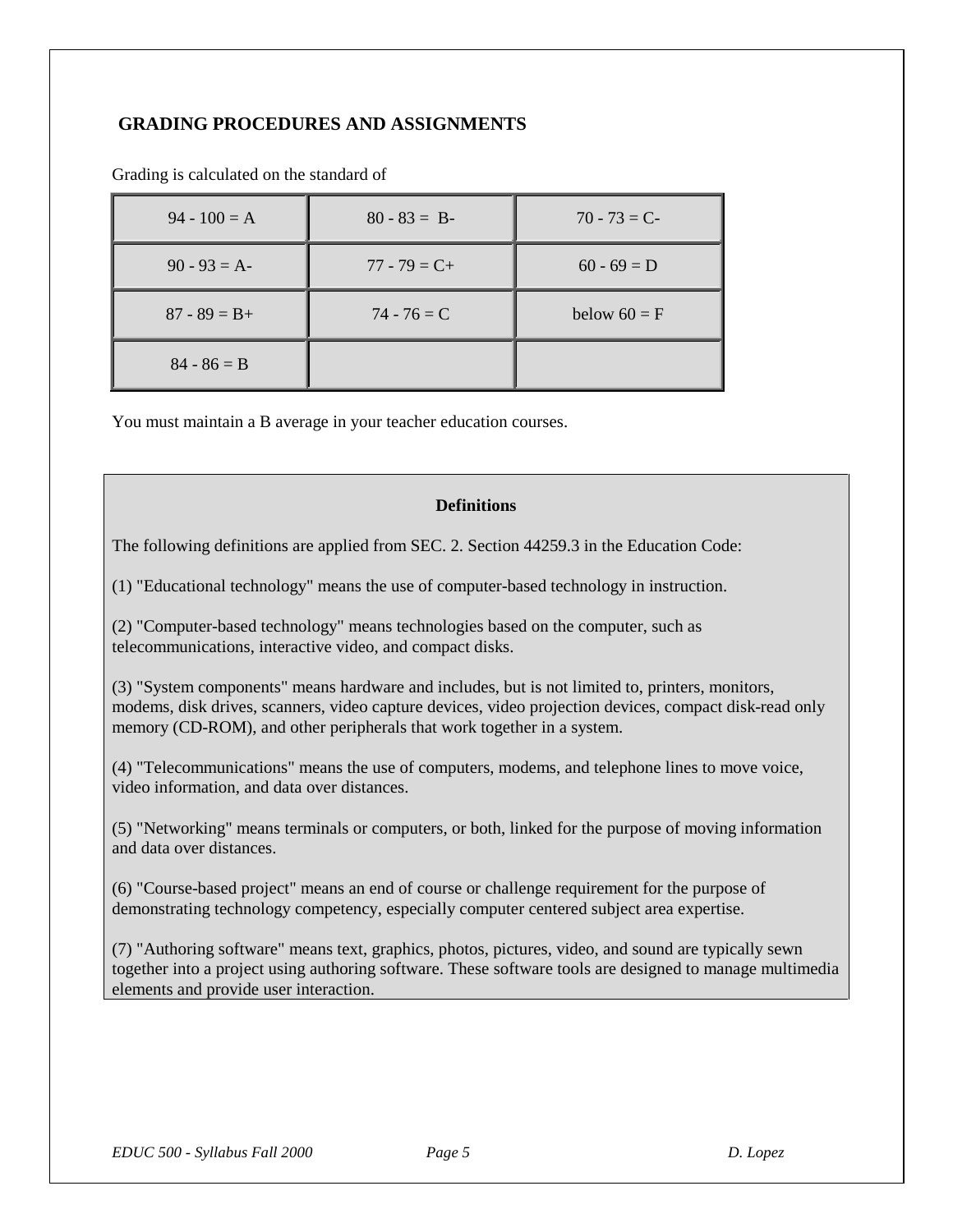# **GRADING PROCEDURES AND ASSIGNMENTS**

| $94 - 100 = A$  | $80 - 83 = B$   | $70 - 73 = C$  |
|-----------------|-----------------|----------------|
| $90 - 93 = A$   | $77 - 79 = C +$ | $60 - 69 = D$  |
| $87 - 89 = B +$ | $74 - 76 = C$   | below $60 = F$ |
| $84 - 86 = B$   |                 |                |

Grading is calculated on the standard of

You must maintain a B average in your teacher education courses.

#### **Definitions**

The following definitions are applied from SEC. 2. Section 44259.3 in the Education Code:

(1) "Educational technology" means the use of computer-based technology in instruction.

(2) "Computer-based technology" means technologies based on the computer, such as telecommunications, interactive video, and compact disks.

(3) "System components" means hardware and includes, but is not limited to, printers, monitors, modems, disk drives, scanners, video capture devices, video projection devices, compact disk-read only memory (CD-ROM), and other peripherals that work together in a system.

(4) "Telecommunications" means the use of computers, modems, and telephone lines to move voice, video information, and data over distances.

(5) "Networking" means terminals or computers, or both, linked for the purpose of moving information and data over distances.

(6) "Course-based project" means an end of course or challenge requirement for the purpose of demonstrating technology competency, especially computer centered subject area expertise.

(7) "Authoring software" means text, graphics, photos, pictures, video, and sound are typically sewn together into a project using authoring software. These software tools are designed to manage multimedia elements and provide user interaction.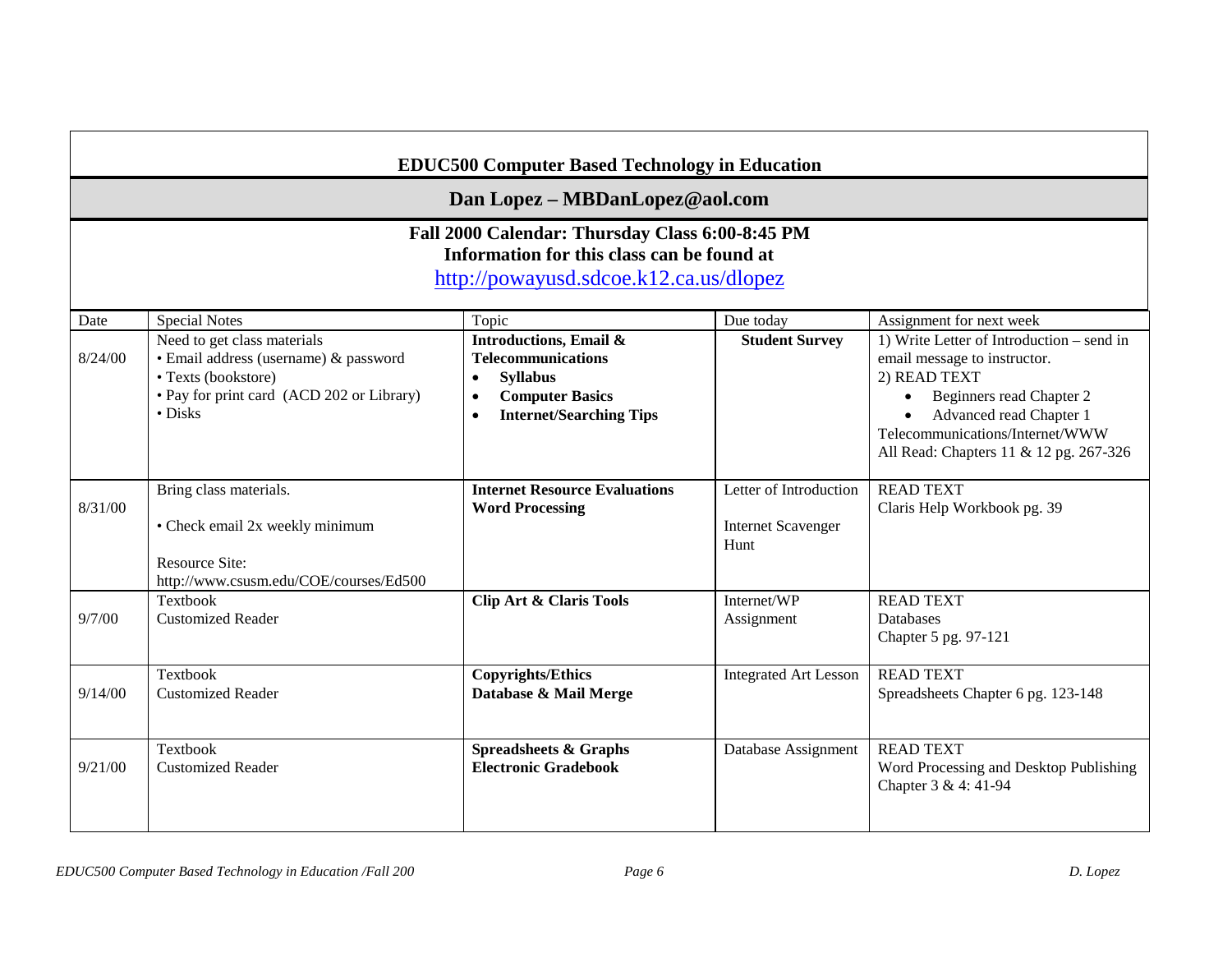| <b>EDUC500 Computer Based Technology in Education</b>                                                                                                                     |                                                                                                                                                             |                                                                                                                                                                                      |                                                             |                                                                                                                                                                                                                                            |  |      |
|---------------------------------------------------------------------------------------------------------------------------------------------------------------------------|-------------------------------------------------------------------------------------------------------------------------------------------------------------|--------------------------------------------------------------------------------------------------------------------------------------------------------------------------------------|-------------------------------------------------------------|--------------------------------------------------------------------------------------------------------------------------------------------------------------------------------------------------------------------------------------------|--|------|
| Dan Lopez - MBDanLopez@aol.com<br>Fall 2000 Calendar: Thursday Class 6:00-8:45 PM<br>Information for this class can be found at<br>http://powayusd.sdcoe.k12.ca.us/dlopez |                                                                                                                                                             |                                                                                                                                                                                      |                                                             |                                                                                                                                                                                                                                            |  |      |
|                                                                                                                                                                           |                                                                                                                                                             |                                                                                                                                                                                      |                                                             |                                                                                                                                                                                                                                            |  | Date |
| 8/24/00                                                                                                                                                                   | Need to get class materials<br>· Email address (username) & password<br>• Texts (bookstore)<br>• Pay for print card (ACD 202 or Library)<br>$\bullet$ Disks | <b>Introductions, Email &amp;</b><br><b>Telecommunications</b><br><b>Syllabus</b><br>$\bullet$<br><b>Computer Basics</b><br>$\bullet$<br><b>Internet/Searching Tips</b><br>$\bullet$ | <b>Student Survey</b>                                       | 1) Write Letter of Introduction – send in<br>email message to instructor.<br>2) READ TEXT<br>Beginners read Chapter 2<br>$\bullet$<br>Advanced read Chapter 1<br>Telecommunications/Internet/WWW<br>All Read: Chapters 11 & 12 pg. 267-326 |  |      |
| 8/31/00                                                                                                                                                                   | Bring class materials.<br>• Check email 2x weekly minimum<br><b>Resource Site:</b><br>http://www.csusm.edu/COE/courses/Ed500                                | <b>Internet Resource Evaluations</b><br><b>Word Processing</b>                                                                                                                       | Letter of Introduction<br><b>Internet Scavenger</b><br>Hunt | <b>READ TEXT</b><br>Claris Help Workbook pg. 39                                                                                                                                                                                            |  |      |
| 9/7/00                                                                                                                                                                    | Textbook<br><b>Customized Reader</b>                                                                                                                        | <b>Clip Art &amp; Claris Tools</b>                                                                                                                                                   | Internet/WP<br>Assignment                                   | <b>READ TEXT</b><br><b>Databases</b><br>Chapter 5 pg. 97-121                                                                                                                                                                               |  |      |
| 9/14/00                                                                                                                                                                   | <b>Textbook</b><br><b>Customized Reader</b>                                                                                                                 | <b>Copyrights/Ethics</b><br>Database & Mail Merge                                                                                                                                    | <b>Integrated Art Lesson</b>                                | <b>READ TEXT</b><br>Spreadsheets Chapter 6 pg. 123-148                                                                                                                                                                                     |  |      |
| 9/21/00                                                                                                                                                                   | <b>Textbook</b><br><b>Customized Reader</b>                                                                                                                 | <b>Spreadsheets &amp; Graphs</b><br><b>Electronic Gradebook</b>                                                                                                                      | Database Assignment                                         | <b>READ TEXT</b><br>Word Processing and Desktop Publishing<br>Chapter 3 & 4: 41-94                                                                                                                                                         |  |      |